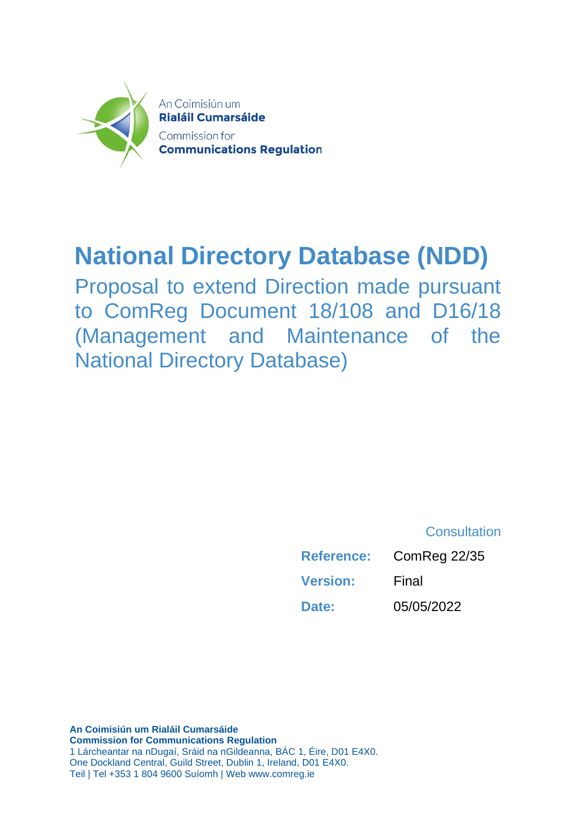

# **National Directory Database (NDD)**

Proposal to extend Direction made pursuant to ComReg Document 18/108 and D16/18 (Management and Maintenance of the National Directory Database)

**Consultation** 

| <b>Reference:</b> | ComReg 22/35 |
|-------------------|--------------|
| <b>Version:</b>   | Final        |
| Date:             | 05/05/2022   |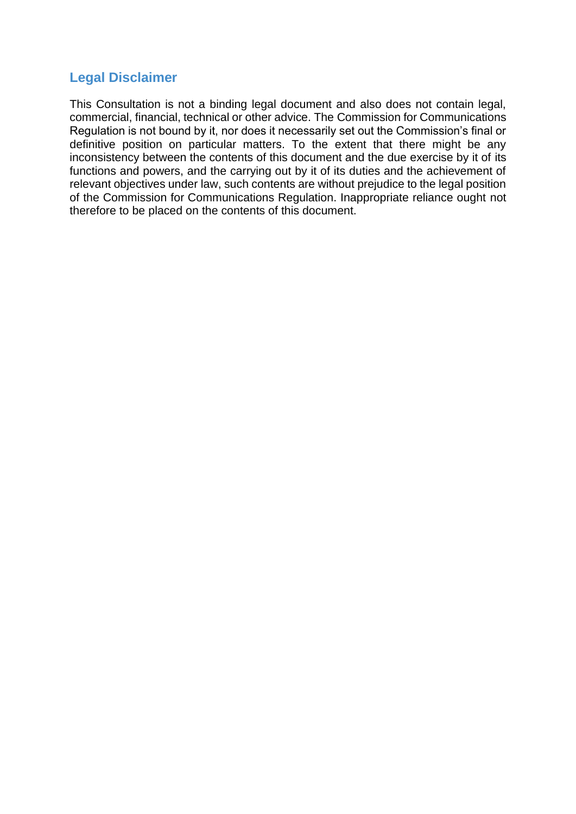### **Legal Disclaimer**

This Consultation is not a binding legal document and also does not contain legal, commercial, financial, technical or other advice. The Commission for Communications Regulation is not bound by it, nor does it necessarily set out the Commission's final or definitive position on particular matters. To the extent that there might be any inconsistency between the contents of this document and the due exercise by it of its functions and powers, and the carrying out by it of its duties and the achievement of relevant objectives under law, such contents are without prejudice to the legal position of the Commission for Communications Regulation. Inappropriate reliance ought not therefore to be placed on the contents of this document.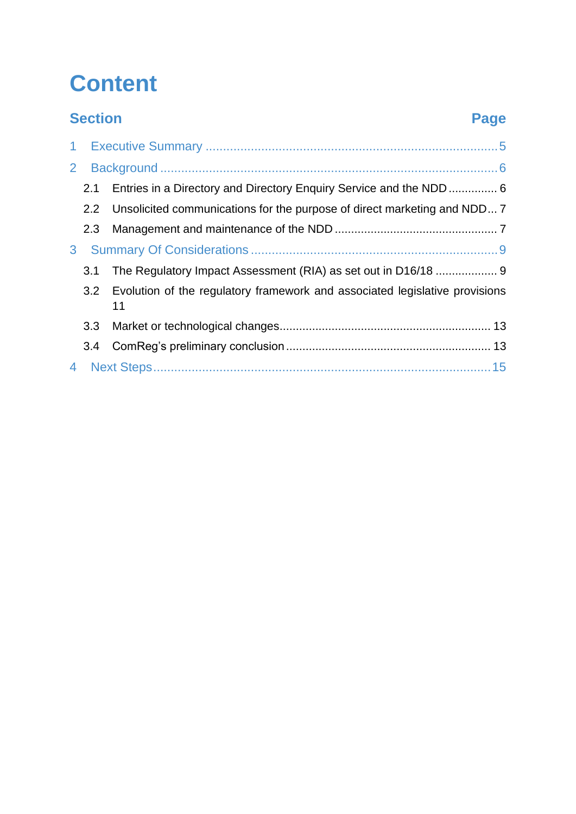# **Content**

| <b>Section</b> |     | Page                                                                                  |  |  |
|----------------|-----|---------------------------------------------------------------------------------------|--|--|
| $\mathbf{1}$   |     |                                                                                       |  |  |
| $\mathbf{2}$   |     |                                                                                       |  |  |
|                | 2.1 | Entries in a Directory and Directory Enquiry Service and the NDD  6                   |  |  |
|                |     | 2.2 Unsolicited communications for the purpose of direct marketing and NDD 7          |  |  |
|                | 2.3 |                                                                                       |  |  |
| 3              |     |                                                                                       |  |  |
|                | 3.1 |                                                                                       |  |  |
|                |     | 3.2 Evolution of the regulatory framework and associated legislative provisions<br>11 |  |  |
|                | 3.3 |                                                                                       |  |  |
|                | 3.4 |                                                                                       |  |  |
| 4              |     |                                                                                       |  |  |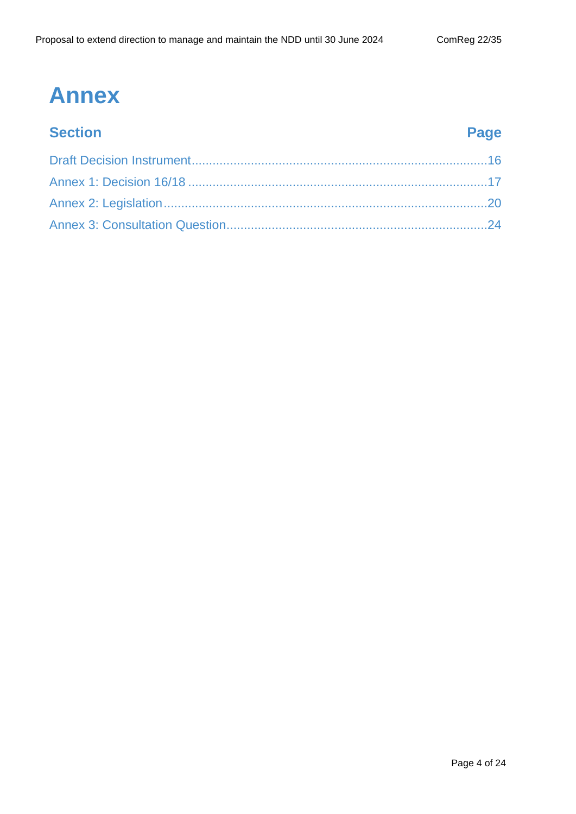## **Annex**

## **Section Page**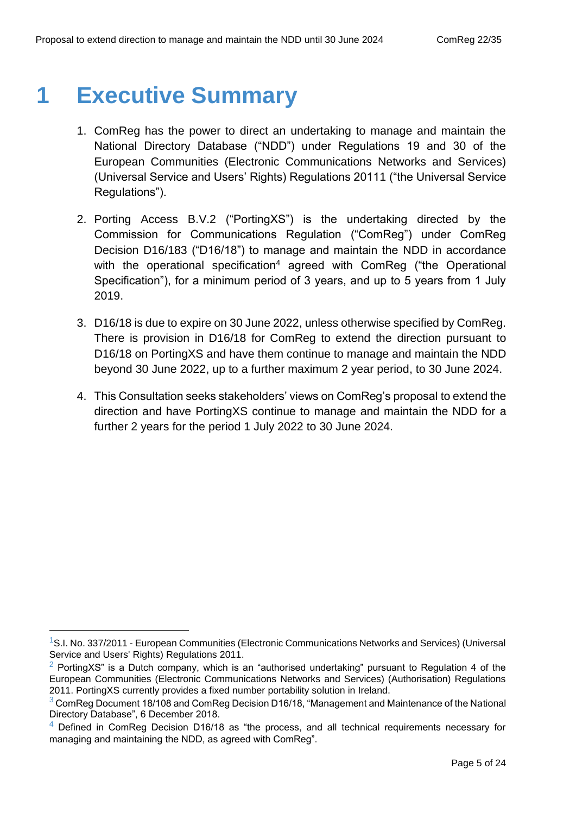## <span id="page-4-0"></span>**1 Executive Summary**

- 1. ComReg has the power to direct an undertaking to manage and maintain the National Directory Database ("NDD") under Regulations 19 and 30 of the European Communities (Electronic Communications Networks and Services) (Universal Service and Users' Rights) Regulations 20111 ("the Universal Service Regulations").
- 2. Porting Access B.V.2 ("PortingXS") is the undertaking directed by the Commission for Communications Regulation ("ComReg") under ComReg Decision D16/183 ("D16/18") to manage and maintain the NDD in accordance with the operational specification<sup>4</sup> agreed with ComReg ("the Operational Specification"), for a minimum period of 3 years, and up to 5 years from 1 July 2019.
- 3. D16/18 is due to expire on 30 June 2022, unless otherwise specified by ComReg. There is provision in D16/18 for ComReg to extend the direction pursuant to D16/18 on PortingXS and have them continue to manage and maintain the NDD beyond 30 June 2022, up to a further maximum 2 year period, to 30 June 2024.
- 4. This Consultation seeks stakeholders' views on ComReg's proposal to extend the direction and have PortingXS continue to manage and maintain the NDD for a further 2 years for the period 1 July 2022 to 30 June 2024.

<sup>&</sup>lt;sup>1</sup>S.I. No. 337/2011 - European Communities (Electronic Communications Networks and Services) (Universal Service and Users' Rights) Regulations 2011.

 $2$  PortingXS" is a Dutch company, which is an "authorised undertaking" pursuant to Regulation 4 of the European Communities (Electronic Communications Networks and Services) (Authorisation) Regulations 2011. PortingXS currently provides a fixed number portability solution in Ireland.

 $3$  ComReg Document 18/108 and ComReg Decision D16/18, "Management and Maintenance of the National Directory Database", 6 December 2018.

 $<sup>4</sup>$  Defined in ComReg Decision D16/18 as "the process, and all technical requirements necessary for</sup> managing and maintaining the NDD, as agreed with ComReg".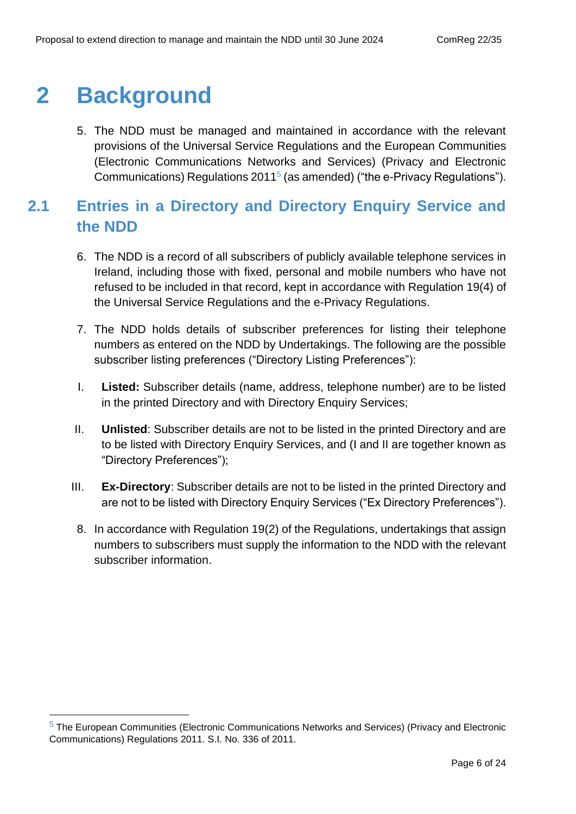## <span id="page-5-0"></span>**2 Background**

5. The NDD must be managed and maintained in accordance with the relevant provisions of the Universal Service Regulations and the European Communities (Electronic Communications Networks and Services) (Privacy and Electronic Communications) Regulations 2011<sup>5</sup> (as amended) ("the e-Privacy Regulations").

### <span id="page-5-1"></span>**2.1 Entries in a Directory and Directory Enquiry Service and the NDD**

- 6. The NDD is a record of all subscribers of publicly available telephone services in Ireland, including those with fixed, personal and mobile numbers who have not refused to be included in that record, kept in accordance with Regulation 19(4) of the Universal Service Regulations and the e-Privacy Regulations.
- 7. The NDD holds details of subscriber preferences for listing their telephone numbers as entered on the NDD by Undertakings. The following are the possible subscriber listing preferences ("Directory Listing Preferences"):
- I. **Listed:** Subscriber details (name, address, telephone number) are to be listed in the printed Directory and with Directory Enquiry Services;
- II. **Unlisted**: Subscriber details are not to be listed in the printed Directory and are to be listed with Directory Enquiry Services, and (I and II are together known as "Directory Preferences");
- III. **Ex-Directory**: Subscriber details are not to be listed in the printed Directory and are not to be listed with Directory Enquiry Services ("Ex Directory Preferences").
- 8. In accordance with Regulation 19(2) of the Regulations, undertakings that assign numbers to subscribers must supply the information to the NDD with the relevant subscriber information.

 $<sup>5</sup>$  The European Communities (Electronic Communications Networks and Services) (Privacy and Electronic</sup> Communications) Regulations 2011. S.I. No. 336 of 2011.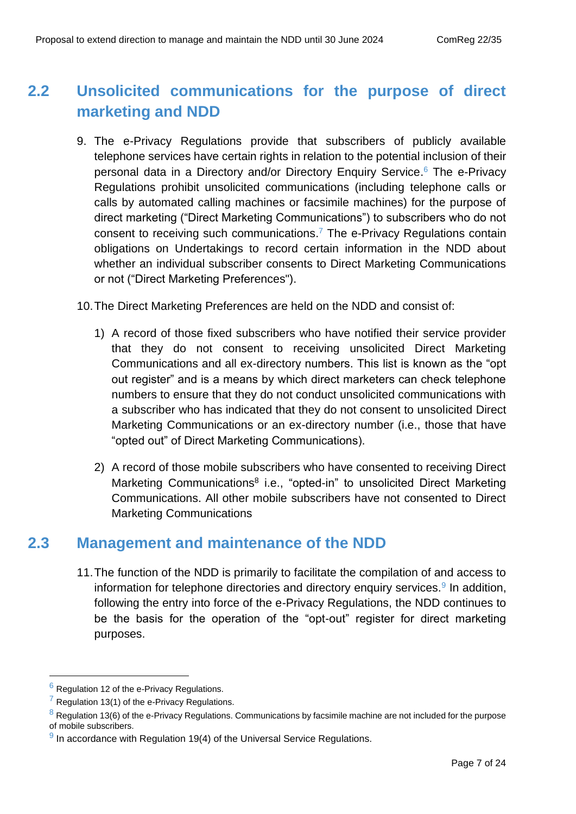### <span id="page-6-0"></span>**2.2 Unsolicited communications for the purpose of direct marketing and NDD**

- 9. The e-Privacy Regulations provide that subscribers of publicly available telephone services have certain rights in relation to the potential inclusion of their personal data in a Directory and/or Directory Enquiry Service. <sup>6</sup> The e-Privacy Regulations prohibit unsolicited communications (including telephone calls or calls by automated calling machines or facsimile machines) for the purpose of direct marketing ("Direct Marketing Communications") to subscribers who do not consent to receiving such communications.<sup>7</sup> The e-Privacy Regulations contain obligations on Undertakings to record certain information in the NDD about whether an individual subscriber consents to Direct Marketing Communications or not ("Direct Marketing Preferences").
- 10.The Direct Marketing Preferences are held on the NDD and consist of:
	- 1) A record of those fixed subscribers who have notified their service provider that they do not consent to receiving unsolicited Direct Marketing Communications and all ex-directory numbers. This list is known as the "opt out register" and is a means by which direct marketers can check telephone numbers to ensure that they do not conduct unsolicited communications with a subscriber who has indicated that they do not consent to unsolicited Direct Marketing Communications or an ex-directory number (i.e., those that have "opted out" of Direct Marketing Communications).
	- 2) A record of those mobile subscribers who have consented to receiving Direct Marketing Communications<sup>8</sup> i.e., "opted-in" to unsolicited Direct Marketing Communications. All other mobile subscribers have not consented to Direct Marketing Communications

### <span id="page-6-1"></span>**2.3 Management and maintenance of the NDD**

11.The function of the NDD is primarily to facilitate the compilation of and access to information for telephone directories and directory enquiry services.<sup>9</sup> In addition, following the entry into force of the e-Privacy Regulations, the NDD continues to be the basis for the operation of the "opt-out" register for direct marketing purposes.

 $6$  Regulation 12 of the e-Privacy Regulations.

 $\frac{7}{7}$  Regulation 13(1) of the e-Privacy Regulations.

 $8$  Regulation 13(6) of the e-Privacy Regulations. Communications by facsimile machine are not included for the purpose of mobile subscribers.

 $9$  In accordance with Regulation 19(4) of the Universal Service Regulations.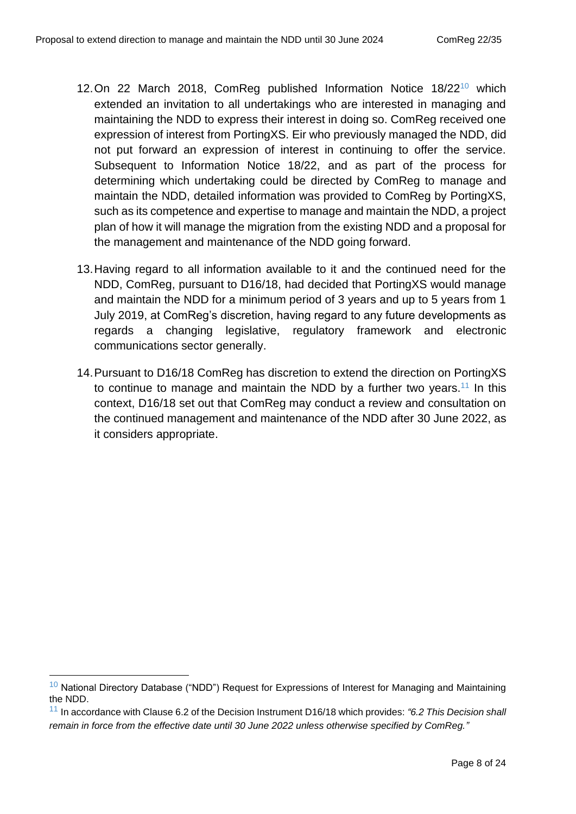- 12. On 22 March 2018, ComReg published Information Notice  $18/22^{10}$  which extended an invitation to all undertakings who are interested in managing and maintaining the NDD to express their interest in doing so. ComReg received one expression of interest from PortingXS. Eir who previously managed the NDD, did not put forward an expression of interest in continuing to offer the service. Subsequent to Information Notice 18/22, and as part of the process for determining which undertaking could be directed by ComReg to manage and maintain the NDD, detailed information was provided to ComReg by PortingXS, such as its competence and expertise to manage and maintain the NDD, a project plan of how it will manage the migration from the existing NDD and a proposal for the management and maintenance of the NDD going forward.
- 13.Having regard to all information available to it and the continued need for the NDD, ComReg, pursuant to D16/18, had decided that PortingXS would manage and maintain the NDD for a minimum period of 3 years and up to 5 years from 1 July 2019, at ComReg's discretion, having regard to any future developments as regards a changing legislative, regulatory framework and electronic communications sector generally.
- 14.Pursuant to D16/18 ComReg has discretion to extend the direction on PortingXS to continue to manage and maintain the NDD by a further two years.<sup>11</sup> In this context, D16/18 set out that ComReg may conduct a review and consultation on the continued management and maintenance of the NDD after 30 June 2022, as it considers appropriate.

<sup>&</sup>lt;sup>10</sup> National Directory Database ("NDD") Request for Expressions of Interest for Managing and Maintaining the NDD.

<sup>11</sup> In accordance with Clause 6.2 of the Decision Instrument D16/18 which provides: *"6.2 This Decision shall remain in force from the effective date until 30 June 2022 unless otherwise specified by ComReg."*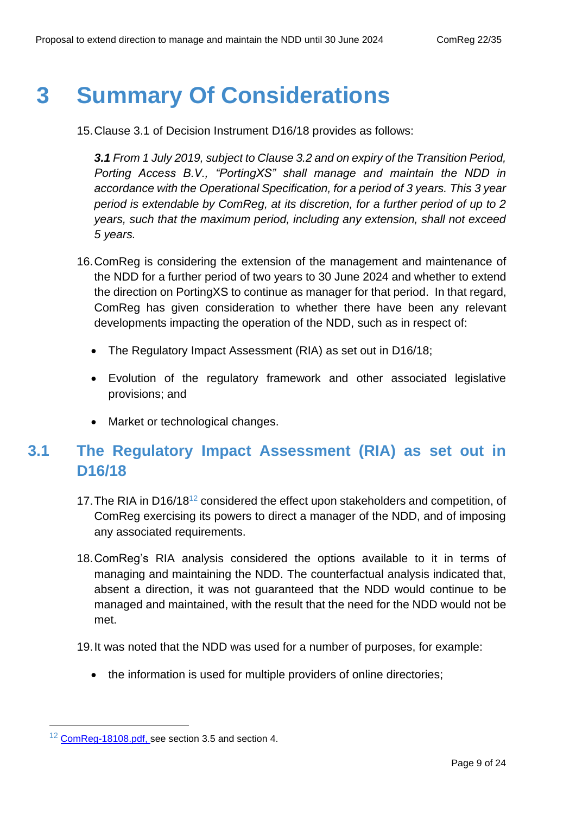## <span id="page-8-0"></span>**3 Summary Of Considerations**

15.Clause 3.1 of Decision Instrument D16/18 provides as follows:

*3.1 From 1 July 2019, subject to Clause 3.2 and on expiry of the Transition Period, Porting Access B.V., "PortingXS" shall manage and maintain the NDD in accordance with the Operational Specification, for a period of 3 years. This 3 year period is extendable by ComReg, at its discretion, for a further period of up to 2 years, such that the maximum period, including any extension, shall not exceed 5 years.* 

- 16.ComReg is considering the extension of the management and maintenance of the NDD for a further period of two years to 30 June 2024 and whether to extend the direction on PortingXS to continue as manager for that period. In that regard, ComReg has given consideration to whether there have been any relevant developments impacting the operation of the NDD, such as in respect of:
	- The Regulatory Impact Assessment (RIA) as set out in D16/18;
	- Evolution of the regulatory framework and other associated legislative provisions; and
	- Market or technological changes.

### <span id="page-8-1"></span>**3.1 The Regulatory Impact Assessment (RIA) as set out in D16/18**

- 17. The RIA in D16/18<sup>12</sup> considered the effect upon stakeholders and competition, of ComReg exercising its powers to direct a manager of the NDD, and of imposing any associated requirements.
- 18.ComReg's RIA analysis considered the options available to it in terms of managing and maintaining the NDD. The counterfactual analysis indicated that, absent a direction, it was not guaranteed that the NDD would continue to be managed and maintained, with the result that the need for the NDD would not be met.
- 19.It was noted that the NDD was used for a number of purposes, for example:
	- the information is used for multiple providers of online directories:

<sup>&</sup>lt;sup>12</sup> [ComReg-18108.pdf,](https://www.comreg.ie/media/dlm_uploads/2018/12/ComReg-18108.pdf) see section 3.5 and section 4.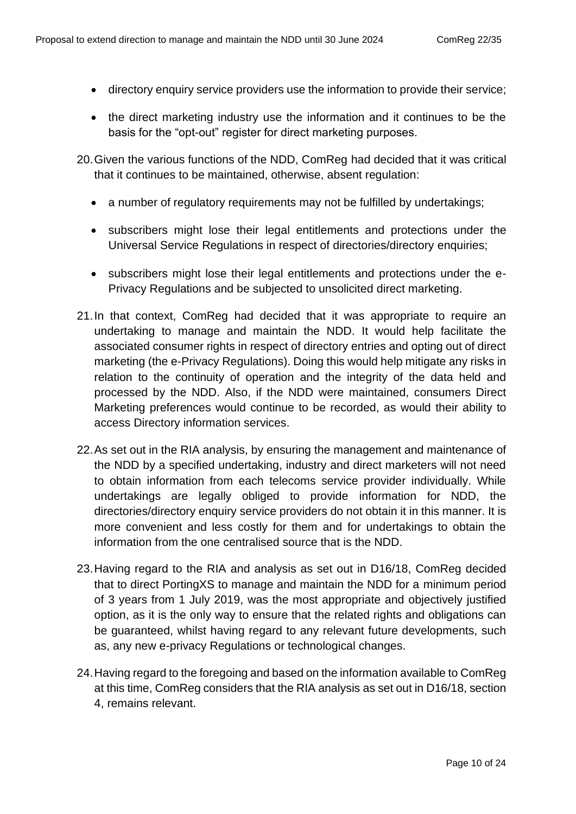- directory enquiry service providers use the information to provide their service;
- the direct marketing industry use the information and it continues to be the basis for the "opt-out" register for direct marketing purposes.
- 20.Given the various functions of the NDD, ComReg had decided that it was critical that it continues to be maintained, otherwise, absent regulation:
	- a number of regulatory requirements may not be fulfilled by undertakings;
	- subscribers might lose their legal entitlements and protections under the Universal Service Regulations in respect of directories/directory enquiries;
	- subscribers might lose their legal entitlements and protections under the e-Privacy Regulations and be subjected to unsolicited direct marketing.
- 21.In that context, ComReg had decided that it was appropriate to require an undertaking to manage and maintain the NDD. It would help facilitate the associated consumer rights in respect of directory entries and opting out of direct marketing (the e-Privacy Regulations). Doing this would help mitigate any risks in relation to the continuity of operation and the integrity of the data held and processed by the NDD. Also, if the NDD were maintained, consumers Direct Marketing preferences would continue to be recorded, as would their ability to access Directory information services.
- 22.As set out in the RIA analysis, by ensuring the management and maintenance of the NDD by a specified undertaking, industry and direct marketers will not need to obtain information from each telecoms service provider individually. While undertakings are legally obliged to provide information for NDD, the directories/directory enquiry service providers do not obtain it in this manner. It is more convenient and less costly for them and for undertakings to obtain the information from the one centralised source that is the NDD.
- 23.Having regard to the RIA and analysis as set out in D16/18, ComReg decided that to direct PortingXS to manage and maintain the NDD for a minimum period of 3 years from 1 July 2019, was the most appropriate and objectively justified option, as it is the only way to ensure that the related rights and obligations can be guaranteed, whilst having regard to any relevant future developments, such as, any new e-privacy Regulations or technological changes.
- 24.Having regard to the foregoing and based on the information available to ComReg at this time, ComReg considers that the RIA analysis as set out in D16/18, section 4, remains relevant.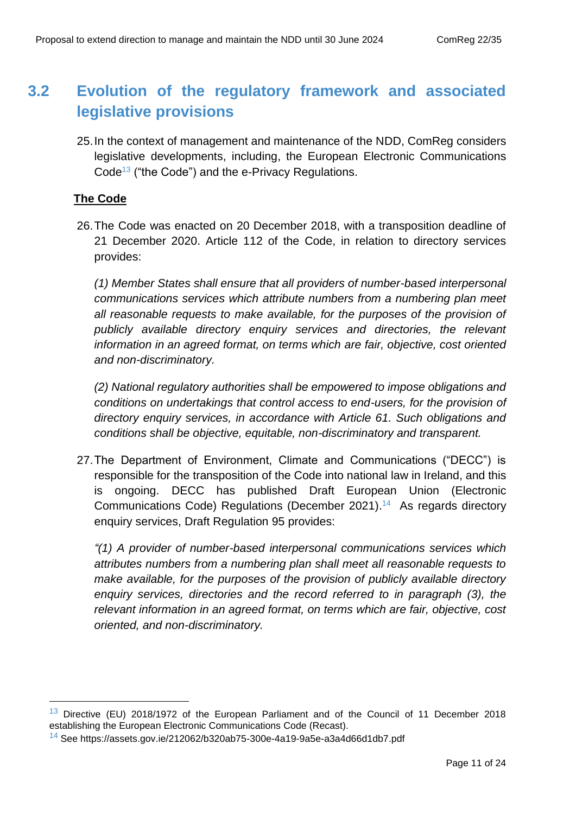### <span id="page-10-0"></span>**3.2 Evolution of the regulatory framework and associated legislative provisions**

25.In the context of management and maintenance of the NDD, ComReg considers legislative developments, including, the European Electronic Communications Code<sup>13</sup> ("the Code") and the e-Privacy Regulations.

#### **The Code**

26.The Code was enacted on 20 December 2018, with a transposition deadline of 21 December 2020. Article 112 of the Code, in relation to directory services provides:

*(1) Member States shall ensure that all providers of number-based interpersonal communications services which attribute numbers from a numbering plan meet all reasonable requests to make available, for the purposes of the provision of publicly available directory enquiry services and directories, the relevant information in an agreed format, on terms which are fair, objective, cost oriented and non-discriminatory.* 

*(2) National regulatory authorities shall be empowered to impose obligations and conditions on undertakings that control access to end-users, for the provision of directory enquiry services, in accordance with Article 61. Such obligations and conditions shall be objective, equitable, non-discriminatory and transparent.*

27.The Department of Environment, Climate and Communications ("DECC") is responsible for the transposition of the Code into national law in Ireland, and this is ongoing. DECC has published Draft European Union (Electronic Communications Code) Regulations (December 2021). 14 As regards directory enquiry services, Draft Regulation 95 provides:

*"(1) A provider of number-based interpersonal communications services which attributes numbers from a numbering plan shall meet all reasonable requests to make available, for the purposes of the provision of publicly available directory enquiry services, directories and the record referred to in paragraph (3), the relevant information in an agreed format, on terms which are fair, objective, cost oriented, and non-discriminatory.*

 $13$  Directive (EU) 2018/1972 of the European Parliament and of the Council of 11 December 2018 establishing the European Electronic Communications Code (Recast).

<sup>14</sup> See https://assets.gov.ie/212062/b320ab75-300e-4a19-9a5e-a3a4d66d1db7.pdf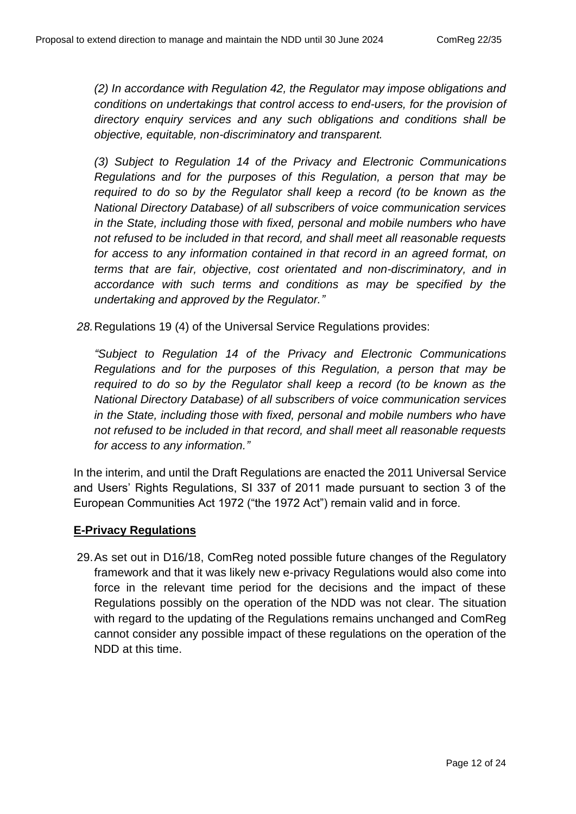*(2) In accordance with Regulation 42, the Regulator may impose obligations and conditions on undertakings that control access to end-users, for the provision of directory enquiry services and any such obligations and conditions shall be objective, equitable, non-discriminatory and transparent.*

*(3) Subject to Regulation 14 of the Privacy and Electronic Communications Regulations and for the purposes of this Regulation, a person that may be required to do so by the Regulator shall keep a record (to be known as the National Directory Database) of all subscribers of voice communication services in the State, including those with fixed, personal and mobile numbers who have not refused to be included in that record, and shall meet all reasonable requests for access to any information contained in that record in an agreed format, on terms that are fair, objective, cost orientated and non-discriminatory, and in accordance with such terms and conditions as may be specified by the undertaking and approved by the Regulator."*

*28.*Regulations 19 (4) of the Universal Service Regulations provides:

*"Subject to Regulation 14 of the Privacy and Electronic Communications Regulations and for the purposes of this Regulation, a person that may be required to do so by the Regulator shall keep a record (to be known as the National Directory Database) of all subscribers of voice communication services in the State, including those with fixed, personal and mobile numbers who have not refused to be included in that record, and shall meet all reasonable requests for access to any information."*

In the interim, and until the Draft Regulations are enacted the 2011 Universal Service and Users' Rights Regulations, SI 337 of 2011 made pursuant to section 3 of the European Communities Act 1972 ("the 1972 Act") remain valid and in force.

#### **E-Privacy Regulations**

29.As set out in D16/18, ComReg noted possible future changes of the Regulatory framework and that it was likely new e-privacy Regulations would also come into force in the relevant time period for the decisions and the impact of these Regulations possibly on the operation of the NDD was not clear. The situation with regard to the updating of the Regulations remains unchanged and ComReg cannot consider any possible impact of these regulations on the operation of the NDD at this time.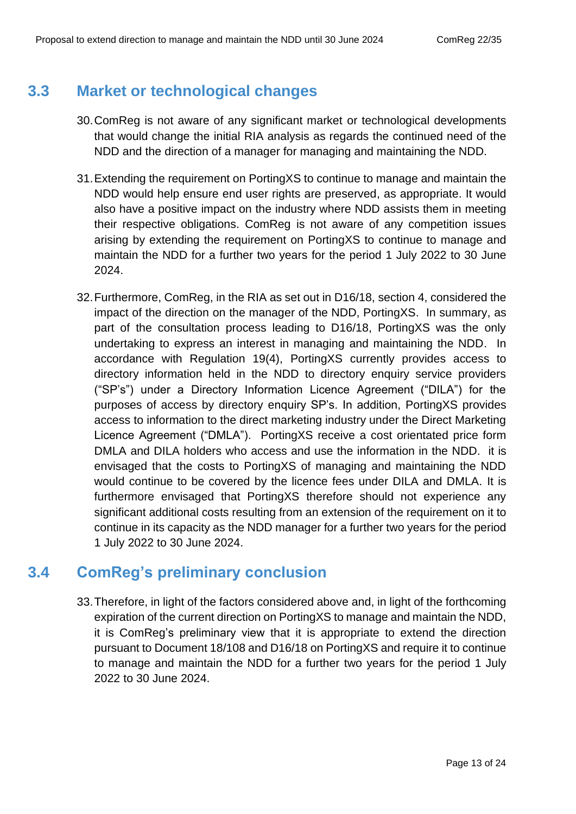### <span id="page-12-0"></span>**3.3 Market or technological changes**

- 30.ComReg is not aware of any significant market or technological developments that would change the initial RIA analysis as regards the continued need of the NDD and the direction of a manager for managing and maintaining the NDD.
- 31.Extending the requirement on PortingXS to continue to manage and maintain the NDD would help ensure end user rights are preserved, as appropriate. It would also have a positive impact on the industry where NDD assists them in meeting their respective obligations. ComReg is not aware of any competition issues arising by extending the requirement on PortingXS to continue to manage and maintain the NDD for a further two years for the period 1 July 2022 to 30 June 2024.
- 32.Furthermore, ComReg, in the RIA as set out in D16/18, section 4, considered the impact of the direction on the manager of the NDD, PortingXS. In summary, as part of the consultation process leading to D16/18, PortingXS was the only undertaking to express an interest in managing and maintaining the NDD. In accordance with Regulation 19(4), PortingXS currently provides access to directory information held in the NDD to directory enquiry service providers ("SP's") under a Directory Information Licence Agreement ("DILA") for the purposes of access by directory enquiry SP's. In addition, PortingXS provides access to information to the direct marketing industry under the Direct Marketing Licence Agreement ("DMLA"). PortingXS receive a cost orientated price form DMLA and DILA holders who access and use the information in the NDD. it is envisaged that the costs to PortingXS of managing and maintaining the NDD would continue to be covered by the licence fees under DILA and DMLA. It is furthermore envisaged that PortingXS therefore should not experience any significant additional costs resulting from an extension of the requirement on it to continue in its capacity as the NDD manager for a further two years for the period 1 July 2022 to 30 June 2024.

### <span id="page-12-1"></span>**3.4 ComReg's preliminary conclusion**

33.Therefore, in light of the factors considered above and, in light of the forthcoming expiration of the current direction on PortingXS to manage and maintain the NDD, it is ComReg's preliminary view that it is appropriate to extend the direction pursuant to Document 18/108 and D16/18 on PortingXS and require it to continue to manage and maintain the NDD for a further two years for the period 1 July 2022 to 30 June 2024.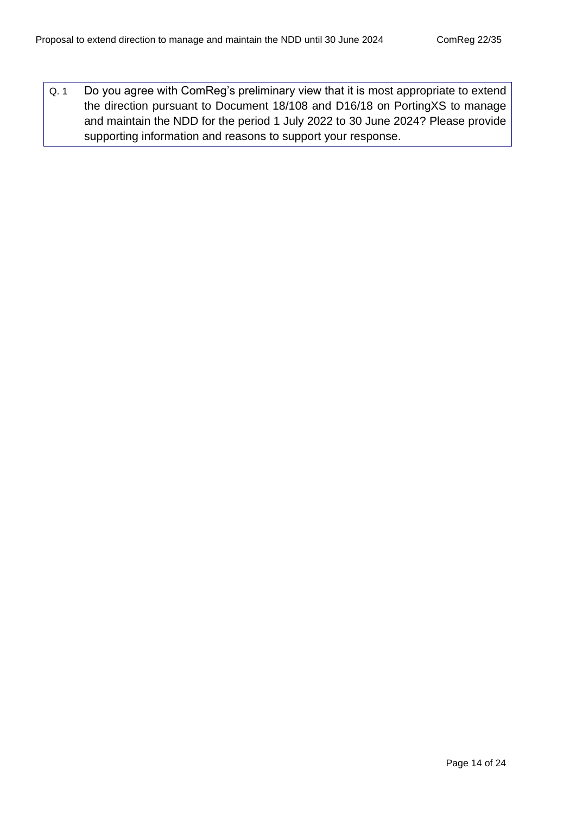<span id="page-13-0"></span>Q. 1 Do you agree with ComReg's preliminary view that it is most appropriate to extend the direction pursuant to Document 18/108 and D16/18 on PortingXS to manage and maintain the NDD for the period 1 July 2022 to 30 June 2024? Please provide supporting information and reasons to support your response.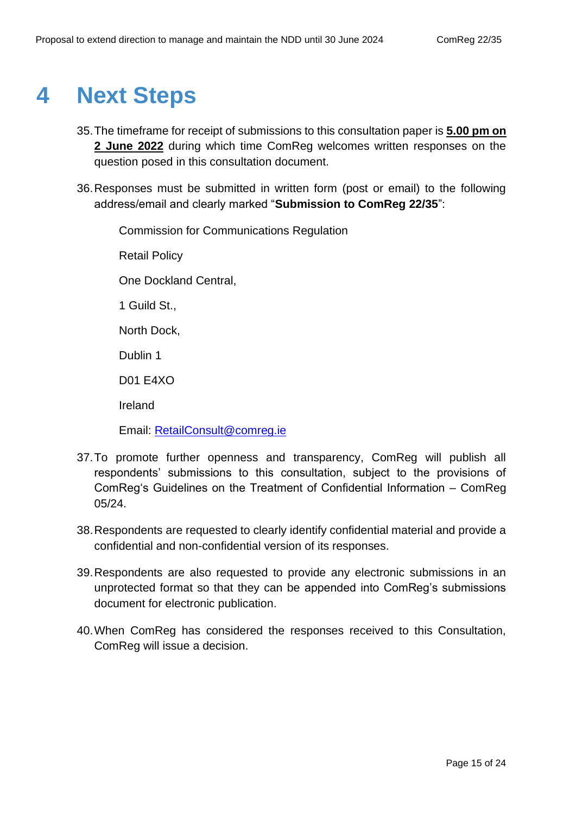## <span id="page-14-0"></span>**4 Next Steps**

- 35.The timeframe for receipt of submissions to this consultation paper is **5.00 pm on 2 June 2022** during which time ComReg welcomes written responses on the question posed in this consultation document.
- 36.Responses must be submitted in written form (post or email) to the following address/email and clearly marked "**Submission to ComReg 22/35**":

Commission for Communications Regulation Retail Policy One Dockland Central, 1 Guild St., North Dock, Dublin 1 D01 E4XO Ireland

Email: [RetailConsult@comreg.ie](mailto:RetailConsult@comreg.ie)

- 37.To promote further openness and transparency, ComReg will publish all respondents' submissions to this consultation, subject to the provisions of ComReg's Guidelines on the Treatment of Confidential Information – ComReg 05/24.
- 38.Respondents are requested to clearly identify confidential material and provide a confidential and non-confidential version of its responses.
- 39.Respondents are also requested to provide any electronic submissions in an unprotected format so that they can be appended into ComReg's submissions document for electronic publication.
- 40.When ComReg has considered the responses received to this Consultation, ComReg will issue a decision.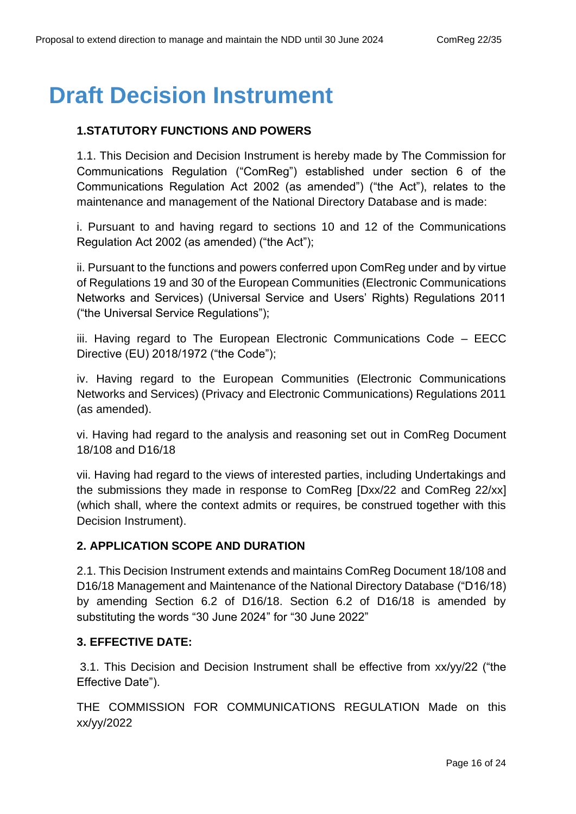## <span id="page-15-0"></span>**Draft Decision Instrument**

#### **1.STATUTORY FUNCTIONS AND POWERS**

1.1. This Decision and Decision Instrument is hereby made by The Commission for Communications Regulation ("ComReg") established under section 6 of the Communications Regulation Act 2002 (as amended") ("the Act"), relates to the maintenance and management of the National Directory Database and is made:

i. Pursuant to and having regard to sections 10 and 12 of the Communications Regulation Act 2002 (as amended) ("the Act");

ii. Pursuant to the functions and powers conferred upon ComReg under and by virtue of Regulations 19 and 30 of the European Communities (Electronic Communications Networks and Services) (Universal Service and Users' Rights) Regulations 2011 ("the Universal Service Regulations");

iii. Having regard to The European Electronic Communications Code – EECC Directive (EU) 2018/1972 ("the Code");

iv. Having regard to the European Communities (Electronic Communications Networks and Services) (Privacy and Electronic Communications) Regulations 2011 (as amended).

vi. Having had regard to the analysis and reasoning set out in ComReg Document 18/108 and D16/18

vii. Having had regard to the views of interested parties, including Undertakings and the submissions they made in response to ComReg [Dxx/22 and ComReg 22/xx] (which shall, where the context admits or requires, be construed together with this Decision Instrument).

#### **2. APPLICATION SCOPE AND DURATION**

2.1. This Decision Instrument extends and maintains ComReg Document 18/108 and D16/18 Management and Maintenance of the National Directory Database ("D16/18) by amending Section 6.2 of D16/18. Section 6.2 of D16/18 is amended by substituting the words "30 June 2024" for "30 June 2022"

#### **3. EFFECTIVE DATE:**

3.1. This Decision and Decision Instrument shall be effective from xx/yy/22 ("the Effective Date").

THE COMMISSION FOR COMMUNICATIONS REGULATION Made on this xx/yy/2022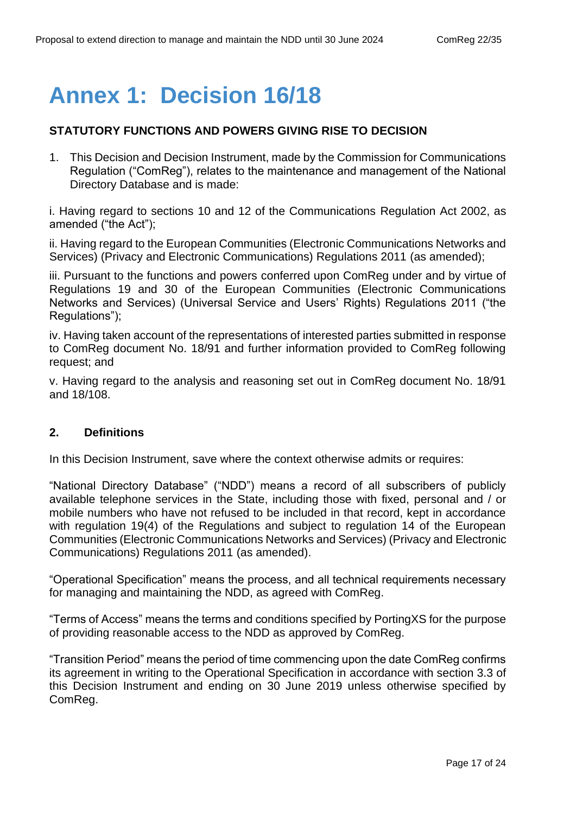## <span id="page-16-0"></span>**Annex 1: Decision 16/18**

#### **STATUTORY FUNCTIONS AND POWERS GIVING RISE TO DECISION**

1. This Decision and Decision Instrument, made by the Commission for Communications Regulation ("ComReg"), relates to the maintenance and management of the National Directory Database and is made:

i. Having regard to sections 10 and 12 of the Communications Regulation Act 2002, as amended ("the Act");

ii. Having regard to the European Communities (Electronic Communications Networks and Services) (Privacy and Electronic Communications) Regulations 2011 (as amended);

iii. Pursuant to the functions and powers conferred upon ComReg under and by virtue of Regulations 19 and 30 of the European Communities (Electronic Communications Networks and Services) (Universal Service and Users' Rights) Regulations 2011 ("the Regulations");

iv. Having taken account of the representations of interested parties submitted in response to ComReg document No. 18/91 and further information provided to ComReg following request; and

v. Having regard to the analysis and reasoning set out in ComReg document No. 18/91 and 18/108.

#### **2. Definitions**

In this Decision Instrument, save where the context otherwise admits or requires:

"National Directory Database" ("NDD") means a record of all subscribers of publicly available telephone services in the State, including those with fixed, personal and / or mobile numbers who have not refused to be included in that record, kept in accordance with regulation 19(4) of the Regulations and subject to regulation 14 of the European Communities (Electronic Communications Networks and Services) (Privacy and Electronic Communications) Regulations 2011 (as amended).

"Operational Specification" means the process, and all technical requirements necessary for managing and maintaining the NDD, as agreed with ComReg.

"Terms of Access" means the terms and conditions specified by PortingXS for the purpose of providing reasonable access to the NDD as approved by ComReg.

"Transition Period" means the period of time commencing upon the date ComReg confirms its agreement in writing to the Operational Specification in accordance with section 3.3 of this Decision Instrument and ending on 30 June 2019 unless otherwise specified by ComReg.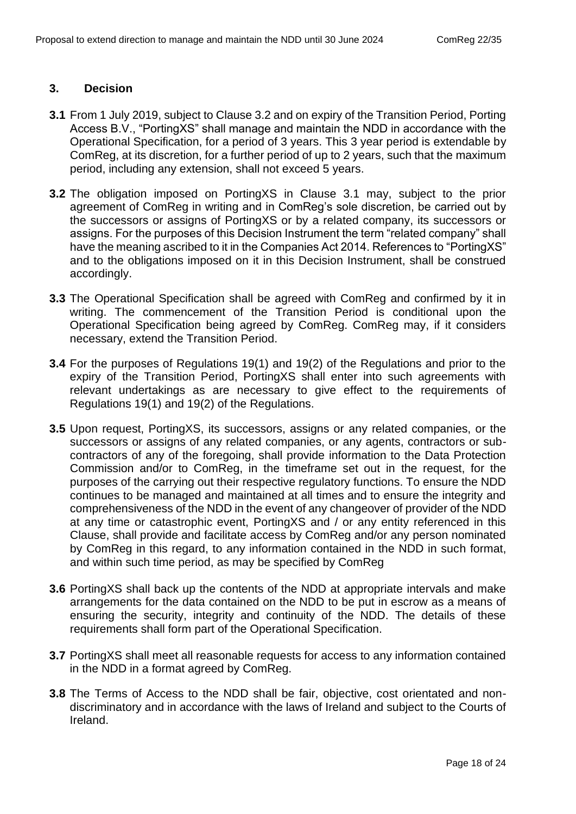#### **3. Decision**

- **3.1** From 1 July 2019, subject to Clause 3.2 and on expiry of the Transition Period, Porting Access B.V., "PortingXS" shall manage and maintain the NDD in accordance with the Operational Specification, for a period of 3 years. This 3 year period is extendable by ComReg, at its discretion, for a further period of up to 2 years, such that the maximum period, including any extension, shall not exceed 5 years.
- **3.2** The obligation imposed on PortingXS in Clause 3.1 may, subject to the prior agreement of ComReg in writing and in ComReg's sole discretion, be carried out by the successors or assigns of PortingXS or by a related company, its successors or assigns. For the purposes of this Decision Instrument the term "related company" shall have the meaning ascribed to it in the Companies Act 2014. References to "PortingXS" and to the obligations imposed on it in this Decision Instrument, shall be construed accordingly.
- **3.3** The Operational Specification shall be agreed with ComReg and confirmed by it in writing. The commencement of the Transition Period is conditional upon the Operational Specification being agreed by ComReg. ComReg may, if it considers necessary, extend the Transition Period.
- **3.4** For the purposes of Regulations 19(1) and 19(2) of the Regulations and prior to the expiry of the Transition Period, PortingXS shall enter into such agreements with relevant undertakings as are necessary to give effect to the requirements of Regulations 19(1) and 19(2) of the Regulations.
- **3.5** Upon request, PortingXS, its successors, assigns or any related companies, or the successors or assigns of any related companies, or any agents, contractors or subcontractors of any of the foregoing, shall provide information to the Data Protection Commission and/or to ComReg, in the timeframe set out in the request, for the purposes of the carrying out their respective regulatory functions. To ensure the NDD continues to be managed and maintained at all times and to ensure the integrity and comprehensiveness of the NDD in the event of any changeover of provider of the NDD at any time or catastrophic event, PortingXS and / or any entity referenced in this Clause, shall provide and facilitate access by ComReg and/or any person nominated by ComReg in this regard, to any information contained in the NDD in such format, and within such time period, as may be specified by ComReg
- **3.6** PortingXS shall back up the contents of the NDD at appropriate intervals and make arrangements for the data contained on the NDD to be put in escrow as a means of ensuring the security, integrity and continuity of the NDD. The details of these requirements shall form part of the Operational Specification.
- **3.7** PortingXS shall meet all reasonable requests for access to any information contained in the NDD in a format agreed by ComReg.
- **3.8** The Terms of Access to the NDD shall be fair, objective, cost orientated and nondiscriminatory and in accordance with the laws of Ireland and subject to the Courts of Ireland.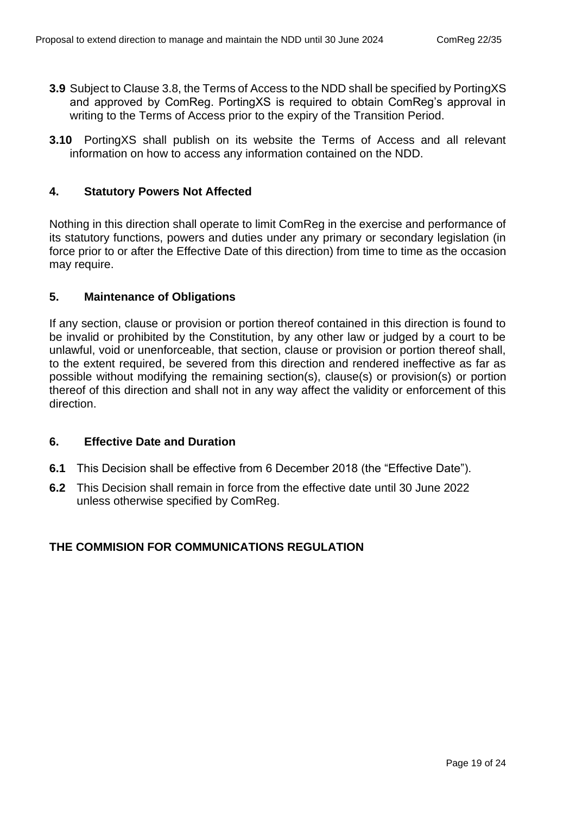- **3.9** Subject to Clause 3.8, the Terms of Access to the NDD shall be specified by PortingXS and approved by ComReg. PortingXS is required to obtain ComReg's approval in writing to the Terms of Access prior to the expiry of the Transition Period.
- **3.10** PortingXS shall publish on its website the Terms of Access and all relevant information on how to access any information contained on the NDD.

### **4. Statutory Powers Not Affected**

Nothing in this direction shall operate to limit ComReg in the exercise and performance of its statutory functions, powers and duties under any primary or secondary legislation (in force prior to or after the Effective Date of this direction) from time to time as the occasion may require.

#### **5. Maintenance of Obligations**

If any section, clause or provision or portion thereof contained in this direction is found to be invalid or prohibited by the Constitution, by any other law or judged by a court to be unlawful, void or unenforceable, that section, clause or provision or portion thereof shall, to the extent required, be severed from this direction and rendered ineffective as far as possible without modifying the remaining section(s), clause(s) or provision(s) or portion thereof of this direction and shall not in any way affect the validity or enforcement of this direction.

#### **6. Effective Date and Duration**

- **6.1** This Decision shall be effective from 6 December 2018 (the "Effective Date").
- **6.2** This Decision shall remain in force from the effective date until 30 June 2022 unless otherwise specified by ComReg.

### **THE COMMISION FOR COMMUNICATIONS REGULATION**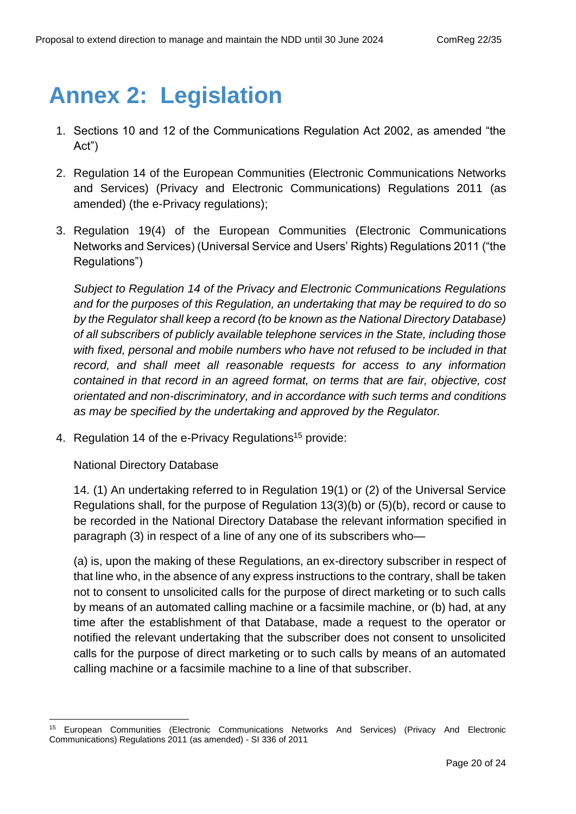## <span id="page-19-0"></span>**Annex 2: Legislation**

- 1. Sections 10 and 12 of the Communications Regulation Act 2002, as amended "the Act")
- 2. Regulation 14 of the European Communities (Electronic Communications Networks and Services) (Privacy and Electronic Communications) Regulations 2011 (as amended) (the e-Privacy regulations);
- 3. Regulation 19(4) of the European Communities (Electronic Communications Networks and Services) (Universal Service and Users' Rights) Regulations 2011 ("the Regulations")

*Subject to Regulation 14 of the Privacy and Electronic Communications Regulations and for the purposes of this Regulation, an undertaking that may be required to do so by the Regulator shall keep a record (to be known as the National Directory Database) of all subscribers of publicly available telephone services in the State, including those with fixed, personal and mobile numbers who have not refused to be included in that record, and shall meet all reasonable requests for access to any information contained in that record in an agreed format, on terms that are fair, objective, cost orientated and non-discriminatory, and in accordance with such terms and conditions as may be specified by the undertaking and approved by the Regulator.*

4. Regulation 14 of the e-Privacy Regulations<sup>15</sup> provide:

National Directory Database

14. (1) An undertaking referred to in Regulation 19(1) or (2) of the Universal Service Regulations shall, for the purpose of Regulation 13(3)(b) or (5)(b), record or cause to be recorded in the National Directory Database the relevant information specified in paragraph (3) in respect of a line of any one of its subscribers who—

(a) is, upon the making of these Regulations, an ex-directory subscriber in respect of that line who, in the absence of any express instructions to the contrary, shall be taken not to consent to unsolicited calls for the purpose of direct marketing or to such calls by means of an automated calling machine or a facsimile machine, or (b) had, at any time after the establishment of that Database, made a request to the operator or notified the relevant undertaking that the subscriber does not consent to unsolicited calls for the purpose of direct marketing or to such calls by means of an automated calling machine or a facsimile machine to a line of that subscriber.

<sup>15</sup> European Communities (Electronic Communications Networks And Services) (Privacy And Electronic Communications) Regulations 2011 (as amended) - SI 336 of 2011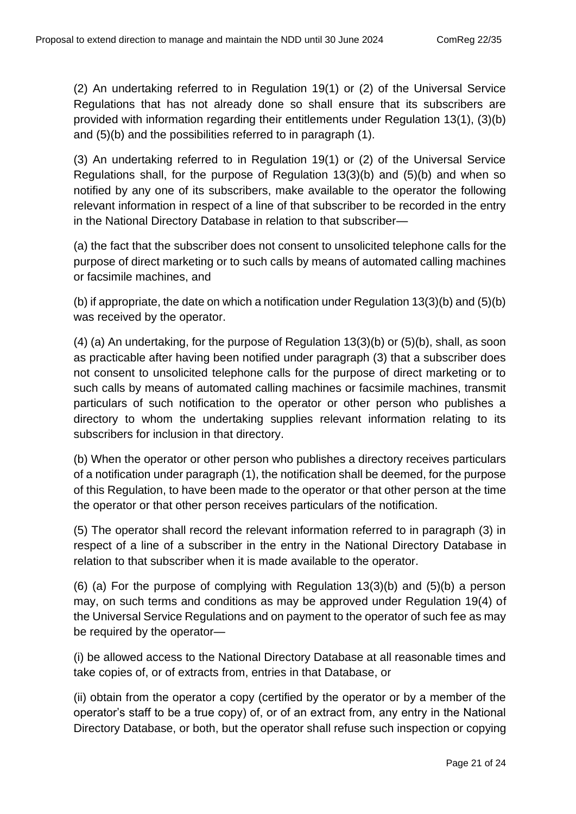(2) An undertaking referred to in Regulation 19(1) or (2) of the Universal Service Regulations that has not already done so shall ensure that its subscribers are provided with information regarding their entitlements under Regulation 13(1), (3)(b) and (5)(b) and the possibilities referred to in paragraph (1).

(3) An undertaking referred to in Regulation 19(1) or (2) of the Universal Service Regulations shall, for the purpose of Regulation 13(3)(b) and (5)(b) and when so notified by any one of its subscribers, make available to the operator the following relevant information in respect of a line of that subscriber to be recorded in the entry in the National Directory Database in relation to that subscriber—

(a) the fact that the subscriber does not consent to unsolicited telephone calls for the purpose of direct marketing or to such calls by means of automated calling machines or facsimile machines, and

(b) if appropriate, the date on which a notification under Regulation 13(3)(b) and (5)(b) was received by the operator.

(4) (a) An undertaking, for the purpose of Regulation 13(3)(b) or (5)(b), shall, as soon as practicable after having been notified under paragraph (3) that a subscriber does not consent to unsolicited telephone calls for the purpose of direct marketing or to such calls by means of automated calling machines or facsimile machines, transmit particulars of such notification to the operator or other person who publishes a directory to whom the undertaking supplies relevant information relating to its subscribers for inclusion in that directory.

(b) When the operator or other person who publishes a directory receives particulars of a notification under paragraph (1), the notification shall be deemed, for the purpose of this Regulation, to have been made to the operator or that other person at the time the operator or that other person receives particulars of the notification.

(5) The operator shall record the relevant information referred to in paragraph (3) in respect of a line of a subscriber in the entry in the National Directory Database in relation to that subscriber when it is made available to the operator.

(6) (a) For the purpose of complying with Regulation 13(3)(b) and (5)(b) a person may, on such terms and conditions as may be approved under Regulation 19(4) of the Universal Service Regulations and on payment to the operator of such fee as may be required by the operator—

(i) be allowed access to the National Directory Database at all reasonable times and take copies of, or of extracts from, entries in that Database, or

(ii) obtain from the operator a copy (certified by the operator or by a member of the operator's staff to be a true copy) of, or of an extract from, any entry in the National Directory Database, or both, but the operator shall refuse such inspection or copying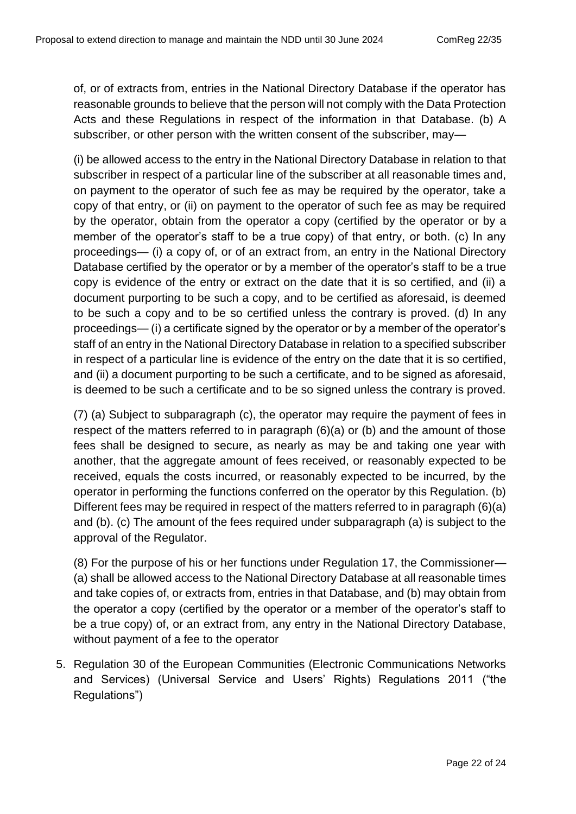of, or of extracts from, entries in the National Directory Database if the operator has reasonable grounds to believe that the person will not comply with the Data Protection Acts and these Regulations in respect of the information in that Database. (b) A subscriber, or other person with the written consent of the subscriber, may—

(i) be allowed access to the entry in the National Directory Database in relation to that subscriber in respect of a particular line of the subscriber at all reasonable times and, on payment to the operator of such fee as may be required by the operator, take a copy of that entry, or (ii) on payment to the operator of such fee as may be required by the operator, obtain from the operator a copy (certified by the operator or by a member of the operator's staff to be a true copy) of that entry, or both. (c) In any proceedings— (i) a copy of, or of an extract from, an entry in the National Directory Database certified by the operator or by a member of the operator's staff to be a true copy is evidence of the entry or extract on the date that it is so certified, and (ii) a document purporting to be such a copy, and to be certified as aforesaid, is deemed to be such a copy and to be so certified unless the contrary is proved. (d) In any proceedings— (i) a certificate signed by the operator or by a member of the operator's staff of an entry in the National Directory Database in relation to a specified subscriber in respect of a particular line is evidence of the entry on the date that it is so certified, and (ii) a document purporting to be such a certificate, and to be signed as aforesaid, is deemed to be such a certificate and to be so signed unless the contrary is proved.

(7) (a) Subject to subparagraph (c), the operator may require the payment of fees in respect of the matters referred to in paragraph (6)(a) or (b) and the amount of those fees shall be designed to secure, as nearly as may be and taking one year with another, that the aggregate amount of fees received, or reasonably expected to be received, equals the costs incurred, or reasonably expected to be incurred, by the operator in performing the functions conferred on the operator by this Regulation. (b) Different fees may be required in respect of the matters referred to in paragraph (6)(a) and (b). (c) The amount of the fees required under subparagraph (a) is subject to the approval of the Regulator.

(8) For the purpose of his or her functions under Regulation 17, the Commissioner— (a) shall be allowed access to the National Directory Database at all reasonable times and take copies of, or extracts from, entries in that Database, and (b) may obtain from the operator a copy (certified by the operator or a member of the operator's staff to be a true copy) of, or an extract from, any entry in the National Directory Database, without payment of a fee to the operator

5. Regulation 30 of the European Communities (Electronic Communications Networks and Services) (Universal Service and Users' Rights) Regulations 2011 ("the Regulations")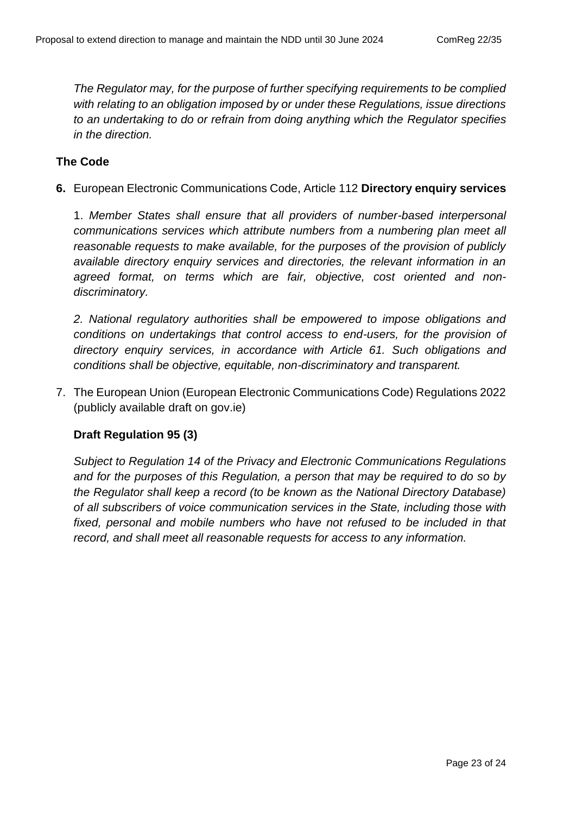*The Regulator may, for the purpose of further specifying requirements to be complied with relating to an obligation imposed by or under these Regulations, issue directions to an undertaking to do or refrain from doing anything which the Regulator specifies in the direction.*

#### **The Code**

**6.** European Electronic Communications Code, Article 112 **Directory enquiry services** 

1. *Member States shall ensure that all providers of number-based interpersonal communications services which attribute numbers from a numbering plan meet all reasonable requests to make available, for the purposes of the provision of publicly available directory enquiry services and directories, the relevant information in an agreed format, on terms which are fair, objective, cost oriented and nondiscriminatory.* 

*2. National regulatory authorities shall be empowered to impose obligations and conditions on undertakings that control access to end-users, for the provision of directory enquiry services, in accordance with Article 61. Such obligations and conditions shall be objective, equitable, non-discriminatory and transparent.*

7. The European Union (European Electronic Communications Code) Regulations 2022 (publicly available draft on gov.ie)

#### **Draft Regulation 95 (3)**

*Subject to Regulation 14 of the Privacy and Electronic Communications Regulations and for the purposes of this Regulation, a person that may be required to do so by the Regulator shall keep a record (to be known as the National Directory Database) of all subscribers of voice communication services in the State, including those with fixed, personal and mobile numbers who have not refused to be included in that record, and shall meet all reasonable requests for access to any information.*